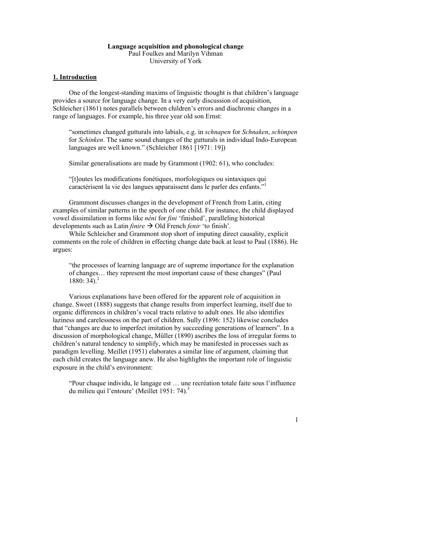# **Language acquisition and phonological change** Paul Foulkes and Marilyn Vihman

University of York

# **1. Introduction**

One of the longest-standing maxims of linguistic thought is that children's language provides a source for language change. In a very early discussion of acquisition, Schleicher (1861) notes parallels between children's errors and diachronic changes in a range of languages. For example, his three year old son Ernst:

"sometimes changed gutturals into labials, e.g. in *schnapen* for *Schnaken*, *schimpen* for *Schinken*. The same sound changes of the gutturals in individual Indo-European languages are well known." (Schleicher 1861 [1971: 19])

Similar generalisations are made by Grammont (1902: 61), who concludes:

"[t]outes les modifications fonétiques, morfologiques ou sintaxiques qui caractérisent la vie des langues apparaissent dans le parler des enfants."<sup>1</sup>

Grammont discusses changes in the development of French from Latin, citing examples of similar patterns in the speech of one child. For instance, the child displayed vowel dissimilation in forms like *néni* for *fini* 'finished', paralleling historical developments such as Latin *finire*  $\rightarrow$  Old French *fenir* 'to finish'.

While Schleicher and Grammont stop short of imputing direct causality, explicit comments on the role of children in effecting change date back at least to Paul (1886). He argues:

"the processes of learning language are of supreme importance for the explanation of changes… they represent the most important cause of these changes" (Paul 1880:  $34$ ).<sup>2</sup>

Various explanations have been offered for the apparent role of acquisition in change. Sweet (1888) suggests that change results from imperfect learning, itself due to organic differences in children's vocal tracts relative to adult ones. He also identifies laziness and carelessness on the part of children. Sully (1896: 152) likewise concludes that "changes are due to imperfect imitation by succeeding generations of learners". In a discussion of morphological change, Müller (1890) ascribes the loss of irregular forms to children's natural tendency to simplify, which may be manifested in processes such as paradigm levelling. Meillet (1951) elaborates a similar line of argument, claiming that each child creates the language anew. He also highlights the important role of linguistic exposure in the child's environment:

"Pour chaque individu, le langage est … une recréation totale faite sous l'influence du milieu qui l'entoure' (Meillet 1951: 74). $3$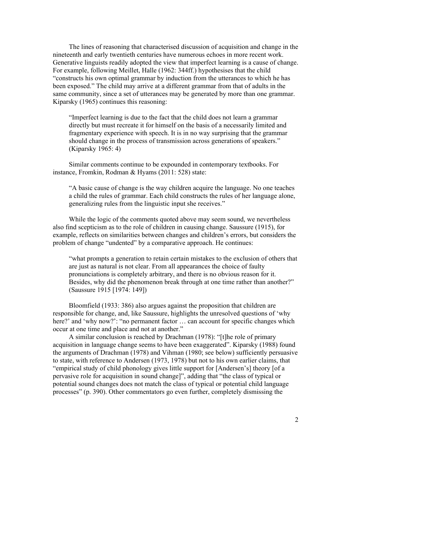The lines of reasoning that characterised discussion of acquisition and change in the nineteenth and early twentieth centuries have numerous echoes in more recent work. Generative linguists readily adopted the view that imperfect learning is a cause of change. For example, following Meillet, Halle (1962: 344ff.) hypothesises that the child "constructs his own optimal grammar by induction from the utterances to which he has been exposed." The child may arrive at a different grammar from that of adults in the same community, since a set of utterances may be generated by more than one grammar. Kiparsky (1965) continues this reasoning:

"Imperfect learning is due to the fact that the child does not learn a grammar directly but must recreate it for himself on the basis of a necessarily limited and fragmentary experience with speech. It is in no way surprising that the grammar should change in the process of transmission across generations of speakers." (Kiparsky 1965: 4)

Similar comments continue to be expounded in contemporary textbooks. For instance, Fromkin, Rodman & Hyams (2011: 528) state:

"A basic cause of change is the way children acquire the language. No one teaches a child the rules of grammar. Each child constructs the rules of her language alone, generalizing rules from the linguistic input she receives."

While the logic of the comments quoted above may seem sound, we nevertheless also find scepticism as to the role of children in causing change. Saussure (1915), for example, reflects on similarities between changes and children's errors, but considers the problem of change "undented" by a comparative approach. He continues:

"what prompts a generation to retain certain mistakes to the exclusion of others that are just as natural is not clear. From all appearances the choice of faulty pronunciations is completely arbitrary, and there is no obvious reason for it. Besides, why did the phenomenon break through at one time rather than another?" (Saussure 1915 [1974: 149])

Bloomfield (1933: 386) also argues against the proposition that children are responsible for change, and, like Saussure, highlights the unresolved questions of 'why here?' and 'why now?': "no permanent factor ... can account for specific changes which occur at one time and place and not at another."

A similar conclusion is reached by Drachman (1978): "[t]he role of primary acquisition in language change seems to have been exaggerated". Kiparsky (1988) found the arguments of Drachman (1978) and Vihman (1980; see below) sufficiently persuasive to state, with reference to Andersen (1973, 1978) but not to his own earlier claims, that "empirical study of child phonology gives little support for [Andersen's] theory [of a pervasive role for acquisition in sound change]", adding that "the class of typical or potential sound changes does not match the class of typical or potential child language processes" (p. 390). Other commentators go even further, completely dismissing the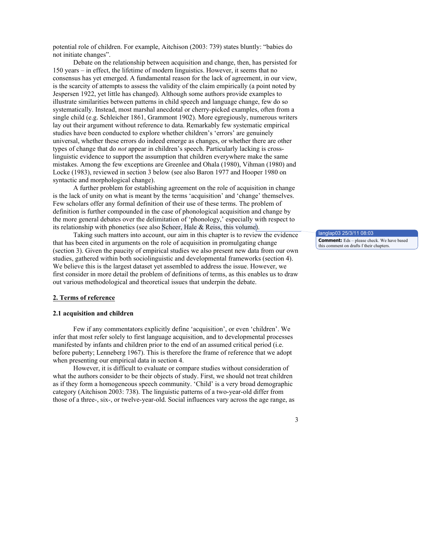potential role of children. For example, Aitchison (2003: 739) states bluntly: "babies do not initiate changes".

Debate on the relationship between acquisition and change, then, has persisted for 150 years – in effect, the lifetime of modern linguistics. However, it seems that no consensus has yet emerged. A fundamental reason for the lack of agreement, in our view, is the scarcity of attempts to assess the validity of the claim empirically (a point noted by Jespersen 1922, yet little has changed). Although some authors provide examples to illustrate similarities between patterns in child speech and language change, few do so systematically. Instead, most marshal anecdotal or cherry-picked examples, often from a single child (e.g. Schleicher 1861, Grammont 1902). More egregiously, numerous writers lay out their argument without reference to data. Remarkably few systematic empirical studies have been conducted to explore whether children's 'errors' are genuinely universal, whether these errors do indeed emerge as changes, or whether there are other types of change that do *not* appear in children's speech. Particularly lacking is crosslinguistic evidence to support the assumption that children everywhere make the same mistakes. Among the few exceptions are Greenlee and Ohala (1980), Vihman (1980) and Locke (1983), reviewed in section 3 below (see also Baron 1977 and Hooper 1980 on syntactic and morphological change).

A further problem for establishing agreement on the role of acquisition in change is the lack of unity on what is meant by the terms 'acquisition' and 'change' themselves. Few scholars offer any formal definition of their use of these terms. The problem of definition is further compounded in the case of phonological acquisition and change by the more general debates over the delimitation of 'phonology,' especially with respect to its relationship with phonetics (see also Scheer, Hale & Reiss, this volume).

Taking such matters into account, our aim in this chapter is to review the evidence that has been cited in arguments on the role of acquisition in promulgating change (section 3). Given the paucity of empirical studies we also present new data from our own studies, gathered within both sociolinguistic and developmental frameworks (section 4). We believe this is the largest dataset yet assembled to address the issue. However, we first consider in more detail the problem of definitions of terms, as this enables us to draw out various methodological and theoretical issues that underpin the debate.

#### **2. Terms of reference**

#### **2.1 acquisition and children**

Few if any commentators explicitly define 'acquisition', or even 'children'. We infer that most refer solely to first language acquisition, and to developmental processes manifested by infants and children prior to the end of an assumed critical period (i.e. before puberty; Lenneberg 1967). This is therefore the frame of reference that we adopt when presenting our empirical data in section 4.

However, it is difficult to evaluate or compare studies without consideration of what the authors consider to be their objects of study. First, we should not treat children as if they form a homogeneous speech community. 'Child' is a very broad demographic category (Aitchison 2003: 738). The linguistic patterns of a two-year-old differ from those of a three-, six-, or twelve-year-old. Social influences vary across the age range, as

anglap03 25/3/11 **Comment:** Eds – please check. We have based this comment on drafts f their chapters.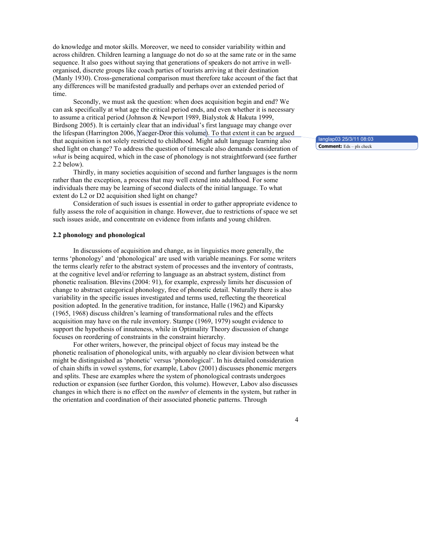do knowledge and motor skills. Moreover, we need to consider variability within and across children. Children learning a language do not do so at the same rate or in the same sequence. It also goes without saying that generations of speakers do not arrive in wellorganised, discrete groups like coach parties of tourists arriving at their destination (Manly 1930). Cross-generational comparison must therefore take account of the fact that any differences will be manifested gradually and perhaps over an extended period of time.

Secondly, we must ask the question: when does acquisition begin and end? We can ask specifically at what age the critical period ends, and even whether it is necessary to assume a critical period (Johnson & Newport 1989, Bialystok & Hakuta 1999, Birdsong 2005). It is certainly clear that an individual's first language may change over the lifespan (Harrington 2006, Yaeger-Dror this volume). To that extent it can be argued that acquisition is not solely restricted to childhood. Might adult language learning also shed light on change? To address the question of timescale also demands consideration of *what* is being acquired, which in the case of phonology is not straightforward (see further 2.2 below).

Thirdly, in many societies acquisition of second and further languages is the norm rather than the exception, a process that may well extend into adulthood. For some individuals there may be learning of second dialects of the initial language. To what extent do L2 or D2 acquisition shed light on change?

Consideration of such issues is essential in order to gather appropriate evidence to fully assess the role of acquisition in change. However, due to restrictions of space we set such issues aside, and concentrate on evidence from infants and young children.

#### **2.2 phonology and phonological**

In discussions of acquisition and change, as in linguistics more generally, the terms 'phonology' and 'phonological' are used with variable meanings. For some writers the terms clearly refer to the abstract system of processes and the inventory of contrasts, at the cognitive level and/or referring to language as an abstract system, distinct from phonetic realisation. Blevins (2004: 91), for example, expressly limits her discussion of change to abstract categorical phonology, free of phonetic detail. Naturally there is also variability in the specific issues investigated and terms used, reflecting the theoretical position adopted. In the generative tradition, for instance, Halle (1962) and Kiparsky (1965, 1968) discuss children's learning of transformational rules and the effects acquisition may have on the rule inventory. Stampe (1969, 1979) sought evidence to support the hypothesis of innateness, while in Optimality Theory discussion of change focuses on reordering of constraints in the constraint hierarchy.

For other writers, however, the principal object of focus may instead be the phonetic realisation of phonological units, with arguably no clear division between what might be distinguished as 'phonetic' versus 'phonological'. In his detailed consideration of chain shifts in vowel systems, for example, Labov (2001) discusses phonemic mergers and splits. These are examples where the system of phonological contrasts undergoes reduction or expansion (see further Gordon, this volume). However, Labov also discusses changes in which there is no effect on the *number* of elements in the system, but rather in the orientation and coordination of their associated phonetic patterns. Through

langlap03 25/3/11 08:03 **Comment:** Eds – pls check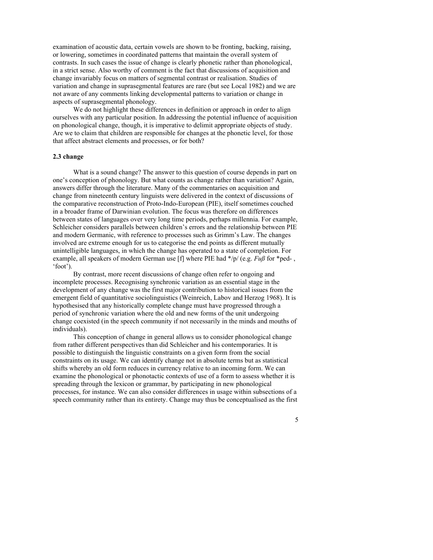examination of acoustic data, certain vowels are shown to be fronting, backing, raising, or lowering, sometimes in coordinated patterns that maintain the overall system of contrasts. In such cases the issue of change is clearly phonetic rather than phonological, in a strict sense. Also worthy of comment is the fact that discussions of acquisition and change invariably focus on matters of segmental contrast or realisation. Studies of variation and change in suprasegmental features are rare (but see Local 1982) and we are not aware of any comments linking developmental patterns to variation or change in aspects of suprasegmental phonology.

We do not highlight these differences in definition or approach in order to align ourselves with any particular position. In addressing the potential influence of acquisition on phonological change, though, it is imperative to delimit appropriate objects of study. Are we to claim that children are responsible for changes at the phonetic level, for those that affect abstract elements and processes, or for both?

## **2.3 change**

What is a sound change? The answer to this question of course depends in part on one's conception of phonology. But what counts as change rather than variation? Again, answers differ through the literature. Many of the commentaries on acquisition and change from nineteenth century linguists were delivered in the context of discussions of the comparative reconstruction of Proto-Indo-European (PIE), itself sometimes couched in a broader frame of Darwinian evolution. The focus was therefore on differences between states of languages over very long time periods, perhaps millennia. For example, Schleicher considers parallels between children's errors and the relationship between PIE and modern Germanic, with reference to processes such as Grimm's Law. The changes involved are extreme enough for us to categorise the end points as different mutually unintelligible languages, in which the change has operated to a state of completion. For example, all speakers of modern German use [f] where PIE had \*/p/ (e.g. *Fuß* for \*ped- , 'foot').

By contrast, more recent discussions of change often refer to ongoing and incomplete processes. Recognising synchronic variation as an essential stage in the development of any change was the first major contribution to historical issues from the emergent field of quantitative sociolinguistics (Weinreich, Labov and Herzog 1968). It is hypothesised that any historically complete change must have progressed through a period of synchronic variation where the old and new forms of the unit undergoing change coexisted (in the speech community if not necessarily in the minds and mouths of individuals).

This conception of change in general allows us to consider phonological change from rather different perspectives than did Schleicher and his contemporaries. It is possible to distinguish the linguistic constraints on a given form from the social constraints on its usage. We can identify change not in absolute terms but as statistical shifts whereby an old form reduces in currency relative to an incoming form. We can examine the phonological or phonotactic contexts of use of a form to assess whether it is spreading through the lexicon or grammar, by participating in new phonological processes, for instance. We can also consider differences in usage within subsections of a speech community rather than its entirety. Change may thus be conceptualised as the first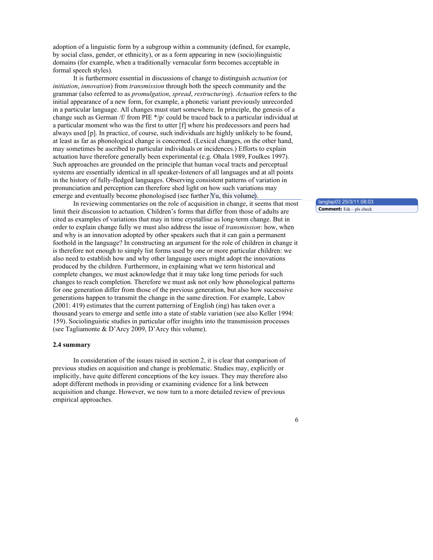adoption of a linguistic form by a subgroup within a community (defined, for example, by social class, gender, or ethnicity), or as a form appearing in new (socio)linguistic domains (for example, when a traditionally vernacular form becomes acceptable in formal speech styles).

It is furthermore essential in discussions of change to distinguish *actuation* (or *initiation*, *innovation*) from *transmission* through both the speech community and the grammar (also referred to as *promulgation*, *spread*, *restructuring*). *Actuation* refers to the initial appearance of a new form, for example, a phonetic variant previously unrecorded in a particular language. All changes must start somewhere. In principle, the genesis of a change such as German /f/ from PIE \*/p/ could be traced back to a particular individual at a particular moment who was the first to utter [f] where his predecessors and peers had always used [p]. In practice, of course, such individuals are highly unlikely to be found, at least as far as phonological change is concerned. (Lexical changes, on the other hand, may sometimes be ascribed to particular individuals or incidences.) Efforts to explain actuation have therefore generally been experimental (e.g. Ohala 1989, Foulkes 1997). Such approaches are grounded on the principle that human vocal tracts and perceptual systems are essentially identical in all speaker-listeners of all languages and at all points in the history of fully-fledged languages. Observing consistent patterns of variation in pronunciation and perception can therefore shed light on how such variations may emerge and eventually become phonologised (see further Yu, this volume).

In reviewing commentaries on the role of acquisition in change, it seems that most limit their discussion to actuation. Children's forms that differ from those of adults are cited as examples of variations that may in time crystallise as long-term change. But in order to explain change fully we must also address the issue of *transmission*: how, when and why is an innovation adopted by other speakers such that it can gain a permanent foothold in the language? In constructing an argument for the role of children in change it is therefore not enough to simply list forms used by one or more particular children: we also need to establish how and why other language users might adopt the innovations produced by the children. Furthermore, in explaining what we term historical and complete changes, we must acknowledge that it may take long time periods for such changes to reach completion. Therefore we must ask not only how phonological patterns for one generation differ from those of the previous generation, but also how successive generations happen to transmit the change in the same direction. For example, Labov (2001: 419) estimates that the current patterning of English (ing) has taken over a thousand years to emerge and settle into a state of stable variation (see also Keller 1994: 159). Sociolinguistic studies in particular offer insights into the transmission processes (see Tagliamonte & D'Arcy 2009, D'Arcy this volume).

#### **2.4 summary**

In consideration of the issues raised in section 2, it is clear that comparison of previous studies on acquisition and change is problematic. Studies may, explicitly or implicitly, have quite different conceptions of the key issues. They may therefore also adopt different methods in providing or examining evidence for a link between acquisition and change. However, we now turn to a more detailed review of previous empirical approaches.

langlap03 25/3/11 08:03 **Comment:** Eds – pls check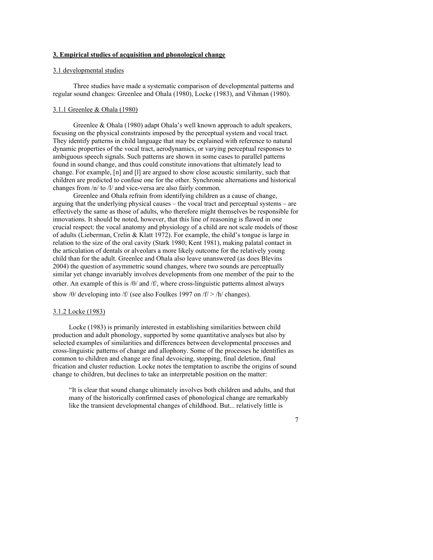# **3. Empirical studies of acquisition and phonological change**

## 3.1 developmental studies

Three studies have made a systematic comparison of developmental patterns and regular sound changes: Greenlee and Ohala (1980), Locke (1983), and Vihman (1980).

#### 3.1.1 Greenlee & Ohala (1980)

Greenlee & Ohala (1980) adapt Ohala's well known approach to adult speakers, focusing on the physical constraints imposed by the perceptual system and vocal tract. They identify patterns in child language that may be explained with reference to natural dynamic properties of the vocal tract, aerodynamics, or varying perceptual responses to ambiguous speech signals. Such patterns are shown in some cases to parallel patterns found in sound change, and thus could constitute innovations that ultimately lead to change. For example, [n] and [l] are argued to show close acoustic similarity, such that children are predicted to confuse one for the other. Synchronic alternations and historical changes from /n/ to /l/ and vice-versa are also fairly common.

Greenlee and Ohala refrain from identifying children as a cause of change, arguing that the underlying physical causes – the vocal tract and perceptual systems – are effectively the same as those of adults, who therefore might themselves be responsible for innovations. It should be noted, however, that this line of reasoning is flawed in one crucial respect: the vocal anatomy and physiology of a child are not scale models of those of adults (Lieberman, Crelin & Klatt 1972). For example, the child's tongue is large in relation to the size of the oral cavity (Stark 1980; Kent 1981), making palatal contact in the articulation of dentals or alveolars a more likely outcome for the relatively young child than for the adult. Greenlee and Ohala also leave unanswered (as does Blevins 2004) the question of asymmetric sound changes, where two sounds are perceptually similar yet change invariably involves developments from one member of the pair to the other. An example of this is /θ/ and /f/, where cross-linguistic patterns almost always show /θ/ developing into /f/ (see also Foulkes 1997 on /f/ > /h/ changes).

#### 3.1.2 Locke (1983)

Locke (1983) is primarily interested in establishing similarities between child production and adult phonology, supported by some quantitative analyses but also by selected examples of similarities and differences between developmental processes and cross-linguistic patterns of change and allophony. Some of the processes he identifies as common to children and change are final devoicing, stopping, final deletion, final frication and cluster reduction. Locke notes the temptation to ascribe the origins of sound change to children, but declines to take an interpretable position on the matter:

"It is clear that sound change ultimately involves both children and adults, and that many of the historically confirmed cases of phonological change are remarkably like the transient developmental changes of childhood. But... relatively little is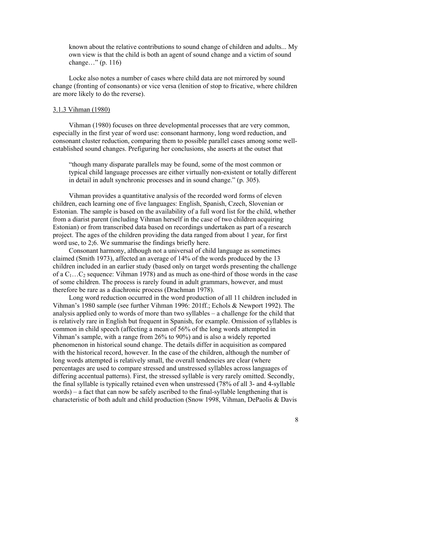known about the relative contributions to sound change of children and adults... My own view is that the child is both an agent of sound change and a victim of sound change…" (p. 116)

Locke also notes a number of cases where child data are not mirrored by sound change (fronting of consonants) or vice versa (lenition of stop to fricative, where children are more likely to do the reverse).

#### 3.1.3 Vihman (1980)

Vihman (1980) focuses on three developmental processes that are very common, especially in the first year of word use: consonant harmony, long word reduction, and consonant cluster reduction, comparing them to possible parallel cases among some wellestablished sound changes. Prefiguring her conclusions, she asserts at the outset that

"though many disparate parallels may be found, some of the most common or typical child language processes are either virtually non-existent or totally different in detail in adult synchronic processes and in sound change." (p. 305).

Vihman provides a quantitative analysis of the recorded word forms of eleven children, each learning one of five languages: English, Spanish, Czech, Slovenian or Estonian. The sample is based on the availability of a full word list for the child, whether from a diarist parent (including Vihman herself in the case of two children acquiring Estonian) or from transcribed data based on recordings undertaken as part of a research project. The ages of the children providing the data ranged from about 1 year, for first word use, to 2;6. We summarise the findings briefly here.

Consonant harmony, although not a universal of child language as sometimes claimed (Smith 1973), affected an average of 14% of the words produced by the 13 children included in an earlier study (based only on target words presenting the challenge of a  $C_1...C_2$  sequence: Vihman 1978) and as much as one-third of those words in the case of some children. The process is rarely found in adult grammars, however, and must therefore be rare as a diachronic process (Drachman 1978).

Long word reduction occurred in the word production of all 11 children included in Vihman's 1980 sample (see further Vihman 1996: 201ff.; Echols & Newport 1992). The analysis applied only to words of more than two syllables – a challenge for the child that is relatively rare in English but frequent in Spanish, for example. Omission of syllables is common in child speech (affecting a mean of 56% of the long words attempted in Vihman's sample, with a range from 26% to 90%) and is also a widely reported phenomenon in historical sound change. The details differ in acquisition as compared with the historical record, however. In the case of the children, although the number of long words attempted is relatively small, the overall tendencies are clear (where percentages are used to compare stressed and unstressed syllables across languages of differing accentual patterns). First, the stressed syllable is very rarely omitted. Secondly, the final syllable is typically retained even when unstressed (78% of all 3- and 4-syllable words) – a fact that can now be safely ascribed to the final-syllable lengthening that is characteristic of both adult and child production (Snow 1998, Vihman, DePaolis & Davis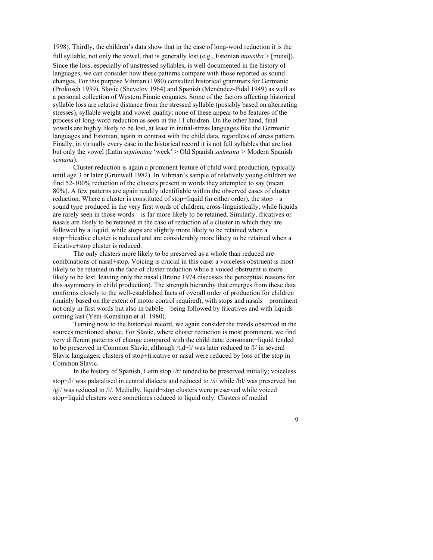1998). Thirdly, the children's data show that in the case of long-word reduction it is the full syllable, not only the vowel, that is generally lost (e.g., Estonian *muusika*  $>$  [mu:si]). Since the loss, especially of unstressed syllables, is well documented in the history of languages, we can consider how these patterns compare with those reported as sound changes. For this purpose Vihman (1980) consulted historical grammars for Germanic (Prokosch 1939), Slavic (Shevelov 1964) and Spanish (Menéndez-Pidal 1949) as well as a personal collection of Western Finnic cognates. Some of the factors affecting historical syllable loss are relative distance from the stressed syllable (possibly based on alternating stresses), syllable weight and vowel quality: none of these appear to be features of the process of long-word reduction as seen in the 11 children. On the other hand, final vowels are highly likely to be lost, at least in initial-stress languages like the Germanic languages and Estonian, again in contrast with the child data, regardless of stress pattern. Finally, in virtually every case in the historical record it is not full syllables that are lost but only the vowel (Latin *septimana* 'week' > Old Spanish *sedmana >* Modern Spanish *semana*).

Cluster reduction is again a prominent feature of child word production, typically until age 3 or later (Grunwell 1982). In Vihman's sample of relatively young children we find 52-100% reduction of the clusters present in words they attempted to say (mean 80%). A few patterns are again readily identifiable within the observed cases of cluster reduction. Where a cluster is constituted of stop+liquid (in either order), the stop –  $a$ sound type produced in the very first words of children, cross-linguistically, while liquids are rarely seen in those words – is far more likely to be retained. Similarly, fricatives or nasals are likely to be retained in the case of reduction of a cluster in which they are followed by a liquid, while stops are slightly more likely to be retained when a stop+fricative cluster is reduced and are considerably more likely to be retained when a fricative+stop cluster is reduced.

The only clusters more likely to be preserved as a whole than reduced are combinations of nasal+stop. Voicing is crucial in this case: a voiceless obstruent is most likely to be retained in the face of cluster reduction while a voiced obstruent is more likely to be lost, leaving only the nasal (Braine 1974 discusses the perceptual reasons for this asymmetry in child production). The strength hierarchy that emerges from these data conforms closely to the well-established facts of overall order of production for children (mainly based on the extent of motor control required), with stops and nasals – prominent not only in first words but also in babble – being followed by fricatives and with liquids coming last (Yeni-Komshian et al. 1980).

Turning now to the historical record, we again consider the trends observed in the sources mentioned above. For Slavic, where cluster reduction is most prominent, we find very different patterns of change compared with the child data: consonant+liquid tended to be preserved in Common Slavic, although /t,d+l/ was later reduced to /l/ in several Slavic languages; clusters of stop+fricative or nasal were reduced by loss of the stop in Common Slavic.

In the history of Spanish, Latin stop+/r/ tended to be preserved initially; voiceless stop+/l/ was palatalised in central dialects and reduced to /ʎ/ while /bl/ was preserved but /gl/ was reduced to /l/. Medially, liquid+stop clusters were preserved while voiced stop+liquid clusters were sometimes reduced to liquid only. Clusters of medial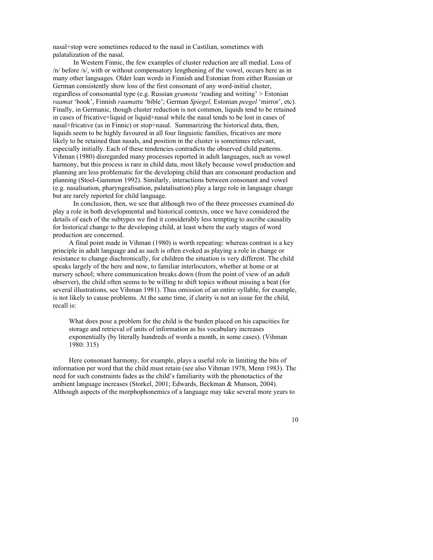nasal+stop were sometimes reduced to the nasal in Castilian, sometimes with palatalization of the nasal.

In Western Finnic, the few examples of cluster reduction are all medial. Loss of /n/ before /s/, with or without compensatory lengthening of the vowel, occurs here as in many other languages. Older loan words in Finnish and Estonian from either Russian or German consistently show loss of the first consonant of any word-initial cluster, regardless of consonantal type (e.g. Russian *gramota* 'reading and writing' > Estonian *raamat* 'book', Finnish *raamattu* 'bible'; German *Spiegel,* Estonian *peegel* 'mirror', etc). Finally, in Germanic, though cluster reduction is not common, liquids tend to be retained in cases of fricative+liquid or liquid+nasal while the nasal tends to be lost in cases of nasal+fricative (as in Finnic) or stop+nasal. Summarizing the historical data, then, liquids seem to be highly favoured in all four linguistic families, fricatives are more likely to be retained than nasals, and position in the cluster is sometimes relevant, especially initially. Each of these tendencies contradicts the observed child patterns. Vihman (1980) disregarded many processes reported in adult languages, such as vowel harmony, but this process is rare in child data, most likely because vowel production and planning are less problematic for the developing child than are consonant production and planning (Stoel-Gammon 1992). Similarly, interactions between consonant and vowel (e.g. nasalisation, pharyngealisation, palatalisation) play a large role in language change but are rarely reported for child language.

In conclusion, then, we see that although two of the three processes examined do play a role in both developmental and historical contexts, once we have considered the details of each of the subtypes we find it considerably less tempting to ascribe causality for historical change to the developing child, at least where the early stages of word production are concerned.

A final point made in Vihman (1980) is worth repeating: whereas contrast is a key principle in adult language and as such is often evoked as playing a role in change or resistance to change diachronically, for children the situation is very different. The child speaks largely of the here and now, to familiar interlocutors, whether at home or at nursery school; where communication breaks down (from the point of view of an adult observer), the child often seems to be willing to shift topics without missing a beat (for several illustrations, see Vihman 1981). Thus omission of an entire syllable, for example, is not likely to cause problems. At the same time, if clarity is not an issue for the child, recall is:

What does pose a problem for the child is the burden placed on his capacities for storage and retrieval of units of information as his vocabulary increases exponentially (by literally hundreds of words a month, in some cases). (Vihman 1980: 315)

Here consonant harmony, for example, plays a useful role in limiting the bits of information per word that the child must retain (see also Vihman 1978, Menn 1983). The need for such constraints fades as the child's familiarity with the phonotactics of the ambient language increases (Storkel, 2001; Edwards, Beckman & Munson, 2004). Although aspects of the morphophonemics of a language may take several more years to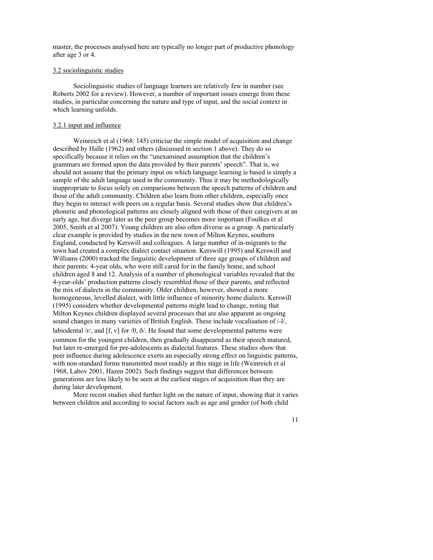master, the processes analysed here are typically no longer part of productive phonology after age 3 or 4.

## 3.2 sociolinguistic studies

Sociolinguistic studies of language learners are relatively few in number (see Roberts 2002 for a review). However, a number of important issues emerge from these studies, in particular concerning the nature and type of input, and the social context in which learning unfolds.

#### 3.2.1 input and influence

Weinreich et al (1968: 145) criticise the simple model of acquisition and change described by Halle (1962) and others (discussed in section 1 above). They do so specifically because it relies on the "unexamined assumption that the children's grammars are formed upon the data provided by their parents' speech". That is, we should not assume that the primary input on which language learning is based is simply a sample of the adult language used in the community. Thus it may be methodologically inappropriate to focus solely on comparisons between the speech patterns of children and those of the adult community. Children also learn from other children, especially once they begin to interact with peers on a regular basis. Several studies show that children's phonetic and phonological patterns are closely aligned with those of their caregivers at an early age, but diverge later as the peer group becomes more important (Foulkes et al 2005, Smith et al 2007). Young children are also often diverse as a group. A particularly clear example is provided by studies in the new town of Milton Keynes, southern England, conducted by Kerswill and colleagues. A large number of in-migrants to the town had created a complex dialect contact situation. Kerswill (1995) and Kerswill and Williams (2000) tracked the linguistic development of three age groups of children and their parents: 4-year olds, who were still cared for in the family home, and school children aged 8 and 12. Analysis of a number of phonological variables revealed that the 4-year-olds' production patterns closely resembled those of their parents, and reflected the mix of dialects in the community. Older children, however, showed a more homogeneous, levelled dialect, with little influence of minority home dialects. Kerswill (1995) considers whether developmental patterns might lead to change, noting that Milton Keynes children displayed several processes that are also apparent as ongoing sound changes in many varieties of British English. These include vocalisation of /-l/, labiodental /r/, and [f, v] for / $\theta$ ,  $\delta$ /. He found that some developmental patterns were common for the youngest children, then gradually disappeared as their speech matured, but later re-emerged for pre-adolescents as dialectal features. These studies show that peer influence during adolescence exerts an especially strong effect on linguistic patterns, with non-standard forms transmitted most readily at this stage in life (Weinreich et al 1968, Labov 2001, Hazen 2002). Such findings suggest that differences between generations are less likely to be seen at the earliest stages of acquisition than they are during later development.

More recent studies shed further light on the nature of input, showing that it varies between children and according to social factors such as age and gender (of both child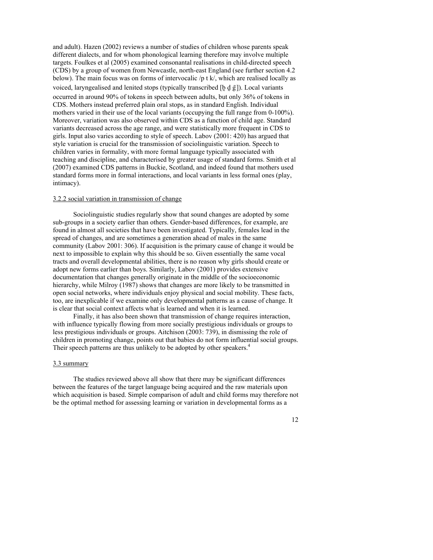and adult). Hazen (2002) reviews a number of studies of children whose parents speak different dialects, and for whom phonological learning therefore may involve multiple targets. Foulkes et al (2005) examined consonantal realisations in child-directed speech (CDS) by a group of women from Newcastle, north-east England (see further section 4.2 below). The main focus was on forms of intervocalic /p t k/, which are realised locally as voiced, laryngealised and lenited stops (typically transcribed  $[b d \tilde{g}]$ ). Local variants occurred in around 90% of tokens in speech between adults, but only 36% of tokens in CDS. Mothers instead preferred plain oral stops, as in standard English. Individual mothers varied in their use of the local variants (occupying the full range from 0-100%). Moreover, variation was also observed within CDS as a function of child age. Standard variants decreased across the age range, and were statistically more frequent in CDS to girls. Input also varies according to style of speech. Labov (2001: 420) has argued that style variation is crucial for the transmission of sociolinguistic variation. Speech to children varies in formality, with more formal language typically associated with teaching and discipline, and characterised by greater usage of standard forms. Smith et al (2007) examined CDS patterns in Buckie, Scotland, and indeed found that mothers used standard forms more in formal interactions, and local variants in less formal ones (play, intimacy).

# 3.2.2 social variation in transmission of change

Sociolinguistic studies regularly show that sound changes are adopted by some sub-groups in a society earlier than others. Gender-based differences, for example, are found in almost all societies that have been investigated. Typically, females lead in the spread of changes, and are sometimes a generation ahead of males in the same community (Labov 2001: 306). If acquisition is the primary cause of change it would be next to impossible to explain why this should be so. Given essentially the same vocal tracts and overall developmental abilities, there is no reason why girls should create or adopt new forms earlier than boys. Similarly, Labov (2001) provides extensive documentation that changes generally originate in the middle of the socioeconomic hierarchy, while Milroy (1987) shows that changes are more likely to be transmitted in open social networks, where individuals enjoy physical and social mobility. These facts, too, are inexplicable if we examine only developmental patterns as a cause of change. It is clear that social context affects what is learned and when it is learned.

Finally, it has also been shown that transmission of change requires interaction, with influence typically flowing from more socially prestigious individuals or groups to less prestigious individuals or groups. Aitchison (2003: 739), in dismissing the role of children in promoting change, points out that babies do not form influential social groups. Their speech patterns are thus unlikely to be adopted by other speakers.<sup>4</sup>

#### 3.3 summary

The studies reviewed above all show that there may be significant differences between the features of the target language being acquired and the raw materials upon which acquisition is based. Simple comparison of adult and child forms may therefore not be the optimal method for assessing learning or variation in developmental forms as a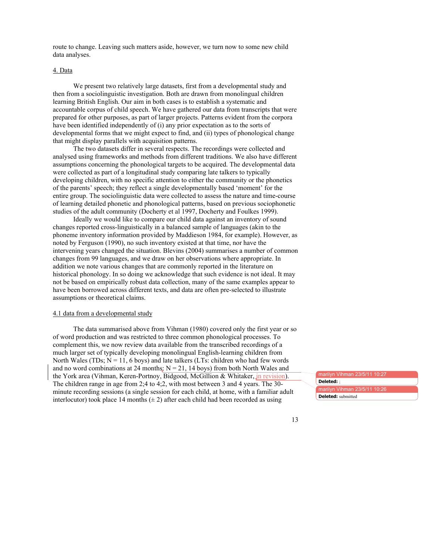route to change. Leaving such matters aside, however, we turn now to some new child data analyses.

## 4. Data

We present two relatively large datasets, first from a developmental study and then from a sociolinguistic investigation. Both are drawn from monolingual children learning British English. Our aim in both cases is to establish a systematic and accountable corpus of child speech. We have gathered our data from transcripts that were prepared for other purposes, as part of larger projects. Patterns evident from the corpora have been identified independently of (i) any prior expectation as to the sorts of developmental forms that we might expect to find, and (ii) types of phonological change that might display parallels with acquisition patterns.

The two datasets differ in several respects. The recordings were collected and analysed using frameworks and methods from different traditions. We also have different assumptions concerning the phonological targets to be acquired. The developmental data were collected as part of a longitudinal study comparing late talkers to typically developing children, with no specific attention to either the community or the phonetics of the parents' speech; they reflect a single developmentally based 'moment' for the entire group. The sociolinguistic data were collected to assess the nature and time-course of learning detailed phonetic and phonological patterns, based on previous sociophonetic studies of the adult community (Docherty et al 1997, Docherty and Foulkes 1999).

Ideally we would like to compare our child data against an inventory of sound changes reported cross-linguistically in a balanced sample of languages (akin to the phoneme inventory information provided by Maddieson 1984, for example). However, as noted by Ferguson (1990), no such inventory existed at that time, nor have the intervening years changed the situation. Blevins (2004) summarises a number of common changes from 99 languages, and we draw on her observations where appropriate. In addition we note various changes that are commonly reported in the literature on historical phonology. In so doing we acknowledge that such evidence is not ideal. It may not be based on empirically robust data collection, many of the same examples appear to have been borrowed across different texts, and data are often pre-selected to illustrate assumptions or theoretical claims.

#### 4.1 data from a developmental study

The data summarised above from Vihman (1980) covered only the first year or so of word production and was restricted to three common phonological processes. To complement this, we now review data available from the transcribed recordings of a much larger set of typically developing monolingual English-learning children from North Wales (TDs;  $N = 11$ , 6 boys) and late talkers (LTs: children who had few words and no word combinations at 24 months:  $N = 21$ , 14 boys) from both North Wales and the York area (Vihman, Keren-Portnoy, Bidgood, McGillion & Whitaker, in revision). The children range in age from 2;4 to 4;2, with most between 3 and 4 years. The 30 minute recording sessions (a single session for each child, at home, with a familiar adult interlocutor) took place 14 months  $(\pm 2)$  after each child had been recorded as using

marilyn Vihmar marilyn Vihman 23/5/11 10:26 **Deleted:** ; **Deleted:** submitted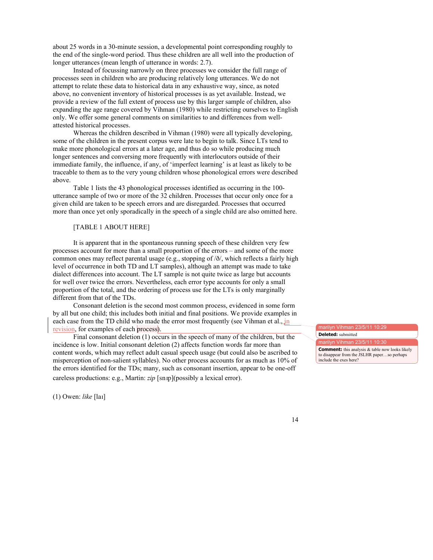about 25 words in a 30-minute session, a developmental point corresponding roughly to the end of the single-word period. Thus these children are all well into the production of longer utterances (mean length of utterance in words: 2.7).

Instead of focussing narrowly on three processes we consider the full range of processes seen in children who are producing relatively long utterances. We do not attempt to relate these data to historical data in any exhaustive way, since, as noted above, no convenient inventory of historical processes is as yet available. Instead, we provide a review of the full extent of process use by this larger sample of children, also expanding the age range covered by Vihman (1980) while restricting ourselves to English only. We offer some general comments on similarities to and differences from wellattested historical processes.

Whereas the children described in Vihman (1980) were all typically developing, some of the children in the present corpus were late to begin to talk. Since LTs tend to make more phonological errors at a later age, and thus do so while producing much longer sentences and conversing more frequently with interlocutors outside of their immediate family, the influence, if any, of 'imperfect learning' is at least as likely to be traceable to them as to the very young children whose phonological errors were described above.

Table 1 lists the 43 phonological processes identified as occurring in the 100 utterance sample of two or more of the 32 children. Processes that occur only once for a given child are taken to be speech errors and are disregarded. Processes that occurred more than once yet only sporadically in the speech of a single child are also omitted here.

## [TABLE 1 ABOUT HERE]

It is apparent that in the spontaneous running speech of these children very few processes account for more than a small proportion of the errors – and some of the more common ones may reflect parental usage (e.g., stopping of /ð/, which reflects a fairly high level of occurrence in both TD and LT samples), although an attempt was made to take dialect differences into account. The LT sample is not quite twice as large but accounts for well over twice the errors. Nevertheless, each error type accounts for only a small proportion of the total, and the ordering of process use for the LTs is only marginally different from that of the TDs.

Consonant deletion is the second most common process, evidenced in some form by all but one child; this includes both initial and final positions. We provide examples in each case from the TD child who made the error most frequently (see Vihman et al., in revision, for examples of each process).

Final consonant deletion (1) occurs in the speech of many of the children, but the incidence is low. Initial consonant deletion (2) affects function words far more than content words, which may reflect adult casual speech usage (but could also be ascribed to misperception of non-salient syllables). No other process accounts for as much as 10% of the errors identified for the TDs; many, such as consonant insertion, appear to be one-off careless productions: e.g., Martin: *zip* [snɪp](possibly a lexical error).

(1) Owen: *like* [laɪ]

marilyn Vihman 23/5/11 **Deleted:** submitted

arilyn Vihman 23/5/11 10:30

**Comment:** this analysis & table now looks likely to disappear from the JSLHR paper…so perhaps include the exes here?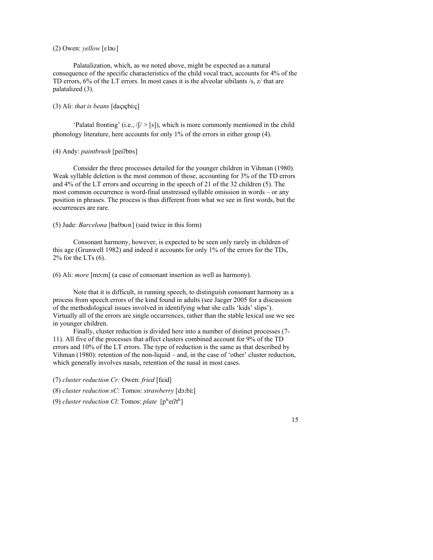## (2) Owen: *yellow* [ɛləʊ]

Palatalization, which, as we noted above, might be expected as a natural consequence of the specific characteristics of the child vocal tract, accounts for 4% of the TD errors, 6% of the LT errors. In most cases it is the alveolar sibilants /s, z/ that are palatalized (3).

## (3) Ali: *that is beans* [daçɪçbiːç]

'Palatal fronting' (i.e.,  $\sqrt{y}$  > [s]), which is more commonly mentioned in the child phonology literature, here accounts for only 1% of the errors in either group (4).

## (4) Andy: *paintbrush* [peɪʔbɒs]

Consider the three processes detailed for the younger children in Vihman (1980). Weak syllable deletion is the most common of those, accounting for 3% of the TD errors and 4% of the LT errors and occurring in the speech of 21 of the 32 children (5). The most common occurrence is word-final unstressed syllable omission in words – or any position in phrases. The process is thus different from what we see in first words, but the occurrences are rare.

## (5) Jude: *Barcelona* [baθəʊn] (said twice in this form)

Consonant harmony, however, is expected to be seen only rarely in children of this age (Grunwell 1982) and indeed it accounts for only 1% of the errors for the TDs,  $2\%$  for the LTs  $(6)$ .

(6) Ali: *more* [mɔːm] (a case of consonant insertion as well as harmony).

Note that it is difficult, in running speech, to distinguish consonant harmony as a process from speech errors of the kind found in adults (see Jaeger 2005 for a discussion of the methodological issues involved in identifying what she calls 'kids' slips'). Virtually all of the errors are single occurrences, rather than the stable lexical use we see in younger children.

Finally, cluster reduction is divided here into a number of distinct processes (7- 11). All five of the processes that affect clusters combined account for 9% of the TD errors and 10% of the LT errors. The type of reduction is the same as that described by Vihman (1980): retention of the non-liquid – and, in the case of 'other' cluster reduction, which generally involves nasals, retention of the nasal in most cases.

(7) *cluster reduction Cr:* Owen: *fried* [faid]

(8) *cluster reduction sC*: Tomos: *strawberry* [dɔːbiː]

(9) *cluster reduction Cl*: Tomos: *plate* [pʰeɪʔtʰ]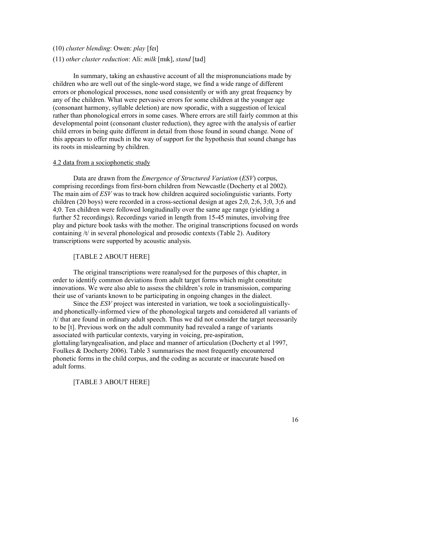## (10) *cluster blending*: Owen: *play* [feɪ]

#### (11) *other cluster reduction*: Ali: *milk* [mɪk], *stand* [tad]

In summary, taking an exhaustive account of all the mispronunciations made by children who are well out of the single-word stage, we find a wide range of different errors or phonological processes, none used consistently or with any great frequency by any of the children. What were pervasive errors for some children at the younger age (consonant harmony, syllable deletion) are now sporadic, with a suggestion of lexical rather than phonological errors in some cases. Where errors are still fairly common at this developmental point (consonant cluster reduction), they agree with the analysis of earlier child errors in being quite different in detail from those found in sound change. None of this appears to offer much in the way of support for the hypothesis that sound change has its roots in mislearning by children.

## 4.2 data from a sociophonetic study

Data are drawn from the *Emergence of Structured Variation* (*ESV*) corpus, comprising recordings from first-born children from Newcastle (Docherty et al 2002). The main aim of *ESV* was to track how children acquired sociolinguistic variants. Forty children (20 boys) were recorded in a cross-sectional design at ages 2;0, 2;6, 3;0, 3;6 and 4;0. Ten children were followed longitudinally over the same age range (yielding a further 52 recordings). Recordings varied in length from 15-45 minutes, involving free play and picture book tasks with the mother. The original transcriptions focused on words containing /t/ in several phonological and prosodic contexts (Table 2). Auditory transcriptions were supported by acoustic analysis.

## [TABLE 2 ABOUT HERE]

The original transcriptions were reanalysed for the purposes of this chapter, in order to identify common deviations from adult target forms which might constitute innovations. We were also able to assess the children's role in transmission, comparing their use of variants known to be participating in ongoing changes in the dialect.

Since the *ESV* project was interested in variation, we took a sociolinguisticallyand phonetically-informed view of the phonological targets and considered all variants of /t/ that are found in ordinary adult speech. Thus we did not consider the target necessarily to be [t]. Previous work on the adult community had revealed a range of variants associated with particular contexts, varying in voicing, pre-aspiration, glottaling/laryngealisation, and place and manner of articulation (Docherty et al 1997, Foulkes & Docherty 2006). Table 3 summarises the most frequently encountered phonetic forms in the child corpus, and the coding as accurate or inaccurate based on adult forms.

# [TABLE 3 ABOUT HERE]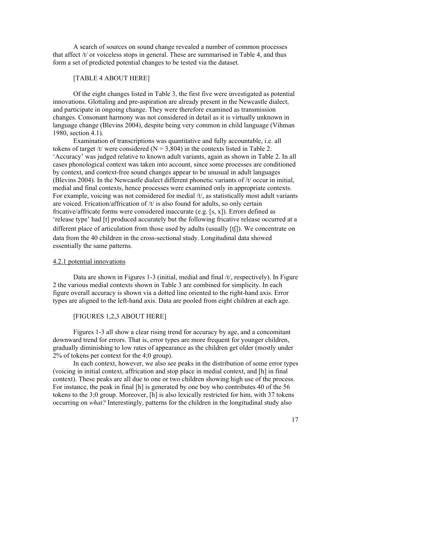A search of sources on sound change revealed a number of common processes that affect  $/t$  or voiceless stops in general. These are summarised in Table 4, and thus form a set of predicted potential changes to be tested via the dataset.

# [TABLE 4 ABOUT HERE]

Of the eight changes listed in Table 3, the first five were investigated as potential innovations. Glottaling and pre-aspiration are already present in the Newcastle dialect, and participate in ongoing change. They were therefore examined as transmission changes. Consonant harmony was not considered in detail as it is virtually unknown in language change (Blevins 2004), despite being very common in child language (Vihman 1980, section 4.1).

Examination of transcriptions was quantitative and fully accountable, i.e. all tokens of target /t/ were considered ( $N = 3,804$ ) in the contexts listed in Table 2. 'Accuracy' was judged relative to known adult variants, again as shown in Table 2. In all cases phonological context was taken into account, since some processes are conditioned by context, and context-free sound changes appear to be unusual in adult languages (Blevins 2004). In the Newcastle dialect different phonetic variants of /t/ occur in initial, medial and final contexts, hence processes were examined only in appropriate contexts. For example, voicing was not considered for medial /t/, as statistically most adult variants are voiced. Frication/affrication of  $/t/$  is also found for adults, so only certain fricative/affricate forms were considered inaccurate (e.g. [s, x]). Errors defined as 'release type' had [t] produced accurately but the following fricative release occurred at a different place of articulation from those used by adults (usually [tʃ]). We concentrate on data from the 40 children in the cross-sectional study. Longitudinal data showed essentially the same patterns.

#### 4.2.1 potential innovations

Data are shown in Figures 1-3 (initial, medial and final /t/, respectively). In Figure 2 the various medial contexts shown in Table 3 are combined for simplicity. In each figure overall accuracy is shown via a dotted line oriented to the right-hand axis. Error types are aligned to the left-hand axis. Data are pooled from eight children at each age.

# [FIGURES 1,2,3 ABOUT HERE]

Figures 1-3 all show a clear rising trend for accuracy by age, and a concomitant downward trend for errors. That is, error types are more frequent for younger children, gradually diminishing to low rates of appearance as the children get older (mostly under 2% of tokens per context for the 4;0 group).

In each context, however, we also see peaks in the distribution of some error types (voicing in initial context, affrication and stop place in medial context, and [h] in final context). These peaks are all due to one or two children showing high use of the process. For instance, the peak in final [h] is generated by one boy who contributes 40 of the 56 tokens to the 3;0 group. Moreover, [h] is also lexically restricted for him, with 37 tokens occurring on *what?* Interestingly, patterns for the children in the longitudinal study also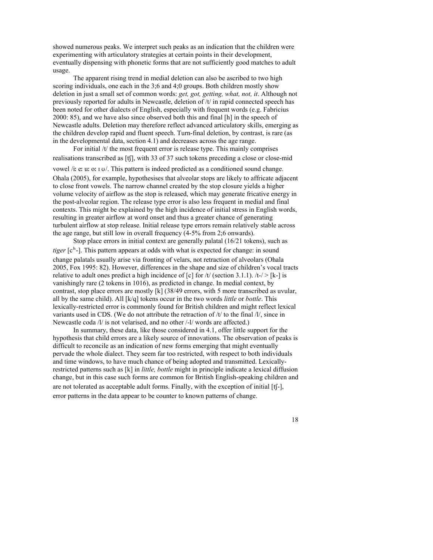showed numerous peaks. We interpret such peaks as an indication that the children were experimenting with articulatory strategies at certain points in their development, eventually dispensing with phonetic forms that are not sufficiently good matches to adult usage.

The apparent rising trend in medial deletion can also be ascribed to two high scoring individuals, one each in the 3;6 and 4;0 groups. Both children mostly show deletion in just a small set of common words: *get, got, getting, what, not, it*. Although not previously reported for adults in Newcastle, deletion of /t/ in rapid connected speech has been noted for other dialects of English, especially with frequent words (e.g. Fabricius 2000: 85), and we have also since observed both this and final [h] in the speech of Newcastle adults. Deletion may therefore reflect advanced articulatory skills, emerging as the children develop rapid and fluent speech. Turn-final deletion, by contrast, is rare (as in the developmental data, section 4.1) and decreases across the age range.

For initial /t/ the most frequent error is release type. This mainly comprises realisations transcribed as [tʃ], with 33 of 37 such tokens preceding a close or close-mid

vowel /iː eː uː oː ɪ ʊ/. This pattern is indeed predicted as a conditioned sound change. Ohala (2005), for example, hypothesises that alveolar stops are likely to affricate adjacent to close front vowels. The narrow channel created by the stop closure yields a higher volume velocity of airflow as the stop is released, which may generate fricative energy in the post-alveolar region. The release type error is also less frequent in medial and final contexts. This might be explained by the high incidence of initial stress in English words, resulting in greater airflow at word onset and thus a greater chance of generating turbulent airflow at stop release. Initial release type errors remain relatively stable across the age range, but still low in overall frequency (4-5% from 2;6 onwards).

Stop place errors in initial context are generally palatal (16/21 tokens), such as *tiger* [c<sup>h</sup>-]. This pattern appears at odds with what is expected for change: in sound change palatals usually arise via fronting of velars, not retraction of alveolars (Ohala 2005, Fox 1995: 82). However, differences in the shape and size of children's vocal tracts relative to adult ones predict a high incidence of  $[c]$  for  $/t$  (section 3.1.1).  $/t$ -/> $[k]$  is vanishingly rare (2 tokens in 1016), as predicted in change. In medial context, by contrast, stop place errors are mostly [k] (38/49 errors, with 5 more transcribed as uvular, all by the same child). All [k/q] tokens occur in the two words *little* or *bottle*. This lexically-restricted error is commonly found for British children and might reflect lexical variants used in CDS. (We do not attribute the retraction of /t/ to the final /l/, since in Newcastle coda /l/ is not velarised, and no other /-l/ words are affected.)

In summary, these data, like those considered in 4.1, offer little support for the hypothesis that child errors are a likely source of innovations. The observation of peaks is difficult to reconcile as an indication of new forms emerging that might eventually pervade the whole dialect. They seem far too restricted, with respect to both individuals and time windows, to have much chance of being adopted and transmitted. Lexicallyrestricted patterns such as [k] in *little, bottle* might in principle indicate a lexical diffusion change, but in this case such forms are common for British English-speaking children and are not tolerated as acceptable adult forms. Finally, with the exception of initial [tʃ-], error patterns in the data appear to be counter to known patterns of change.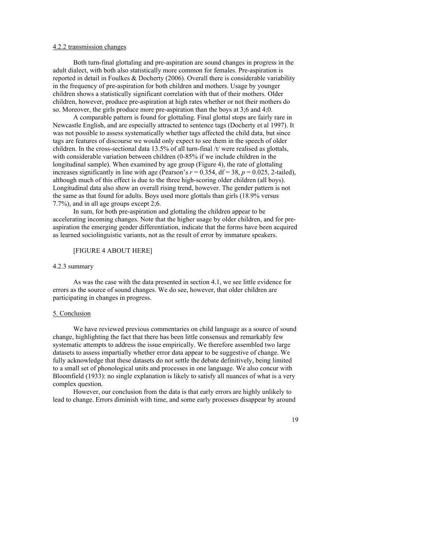#### 4.2.2 transmission changes

Both turn-final glottaling and pre-aspiration are sound changes in progress in the adult dialect, with both also statistically more common for females. Pre-aspiration is reported in detail in Foulkes & Docherty (2006). Overall there is considerable variability in the frequency of pre-aspiration for both children and mothers. Usage by younger children shows a statistically significant correlation with that of their mothers. Older children, however, produce pre-aspiration at high rates whether or not their mothers do so. Moreover, the girls produce more pre-aspiration than the boys at 3;6 and 4;0.

A comparable pattern is found for glottaling. Final glottal stops are fairly rare in Newcastle English, and are especially attracted to sentence tags (Docherty et al 1997). It was not possible to assess systematically whether tags affected the child data, but since tags are features of discourse we would only expect to see them in the speech of older children. In the cross-sectional data 13.5% of all turn-final /t/ were realised as glottals, with considerable variation between children (0-85% if we include children in the longitudinal sample). When examined by age group (Figure 4), the rate of glottaling increases significantly in line with age (Pearson's  $r = 0.354$ ,  $df = 38$ ,  $p = 0.025$ , 2-tailed), although much of this effect is due to the three high-scoring older children (all boys). Longitudinal data also show an overall rising trend, however. The gender pattern is not the same as that found for adults. Boys used more glottals than girls (18.9% versus 7.7%), and in all age groups except 2;6.

In sum, for both pre-aspiration and glottaling the children appear to be accelerating incoming changes. Note that the higher usage by older children, and for preaspiration the emerging gender differentiation, indicate that the forms have been acquired as learned sociolinguistic variants, not as the result of error by immature speakers.

## [FIGURE 4 ABOUT HERE]

#### 4.2.3 summary

As was the case with the data presented in section 4.1, we see little evidence for errors as the source of sound changes. We do see, however, that older children are participating in changes in progress.

#### 5. Conclusion

We have reviewed previous commentaries on child language as a source of sound change, highlighting the fact that there has been little consensus and remarkably few systematic attempts to address the issue empirically. We therefore assembled two large datasets to assess impartially whether error data appear to be suggestive of change. We fully acknowledge that these datasets do not settle the debate definitively, being limited to a small set of phonological units and processes in one language. We also concur with Bloomfield (1933): no single explanation is likely to satisfy all nuances of what is a very complex question.

However, our conclusion from the data is that early errors are highly unlikely to lead to change. Errors diminish with time, and some early processes disappear by around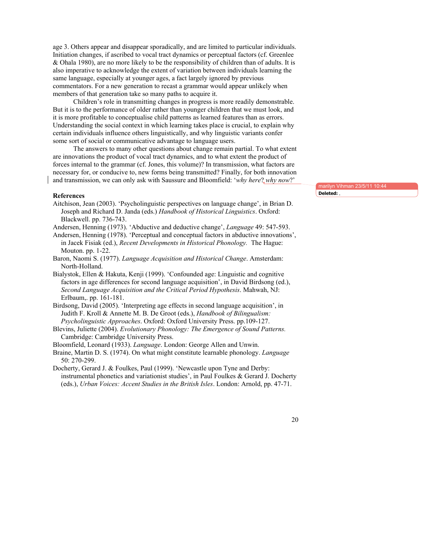age 3. Others appear and disappear sporadically, and are limited to particular individuals. Initiation changes, if ascribed to vocal tract dynamics or perceptual factors (cf. Greenlee & Ohala 1980), are no more likely to be the responsibility of children than of adults. It is also imperative to acknowledge the extent of variation between individuals learning the same language, especially at younger ages, a fact largely ignored by previous commentators. For a new generation to recast a grammar would appear unlikely when members of that generation take so many paths to acquire it.

Children's role in transmitting changes in progress is more readily demonstrable. But it is to the performance of older rather than younger children that we must look, and it is more profitable to conceptualise child patterns as learned features than as errors. Understanding the social context in which learning takes place is crucial, to explain why certain individuals influence others linguistically, and why linguistic variants confer some sort of social or communicative advantage to language users.

The answers to many other questions about change remain partial. To what extent are innovations the product of vocal tract dynamics, and to what extent the product of forces internal to the grammar (cf. Jones, this volume)? In transmission, what factors are necessary for, or conducive to, new forms being transmitted? Finally, for both innovation and transmission, we can only ask with Saussure and Bloomfield: '*why here*? *why now*?'

#### **References**

Aitchison, Jean (2003). 'Psycholinguistic perspectives on language change', in Brian D. Joseph and Richard D. Janda (eds.) *Handbook of Historical Linguistics*. Oxford: Blackwell. pp. 736-743.

Andersen, Henning (1973). 'Abductive and deductive change', *Language* 49: 547-593.

- Andersen, Henning (1978). 'Perceptual and conceptual factors in abductive innovations', in Jacek Fisiak (ed.), *Recent Developments in Historical Phonology.* The Hague: Mouton. pp. 1-22.
- Baron, Naomi S. (1977). *Language Acquisition and Historical Change*. Amsterdam: North-Holland.
- Bialystok, Ellen & Hakuta, Kenji (1999). 'Confounded age: Linguistic and cognitive factors in age differences for second language acquisition', in David Birdsong (ed.), *Second Language Acquisition and the Critical Period Hypothesis*. Mahwah, NJ: Erlbaum,. pp. 161-181.
- Birdsong, David (2005). 'Interpreting age effects in second language acquisition', in Judith F. Kroll & Annette M. B. De Groot (eds.), *Handbook of Bilingualism: Psycholinguistic Approaches*. Oxford: Oxford University Press. pp.109-127.
- Blevins, Juliette (2004). *Evolutionary Phonology: The Emergence of Sound Patterns.*  Cambridge: Cambridge University Press.
- Bloomfield, Leonard (1933). *Language*. London: George Allen and Unwin.
- Braine, Martin D. S. (1974). On what might constitute learnable phonology. *Language* 50: 270-299.
- Docherty, Gerard J. & Foulkes, Paul (1999). 'Newcastle upon Tyne and Derby: instrumental phonetics and variationist studies', in Paul Foulkes & Gerard J. Docherty (eds.), *Urban Voices: Accent Studies in the British Isles*. London: Arnold, pp. 47-71.

marilyn Vihman 23/5/11 **Deleted:** ,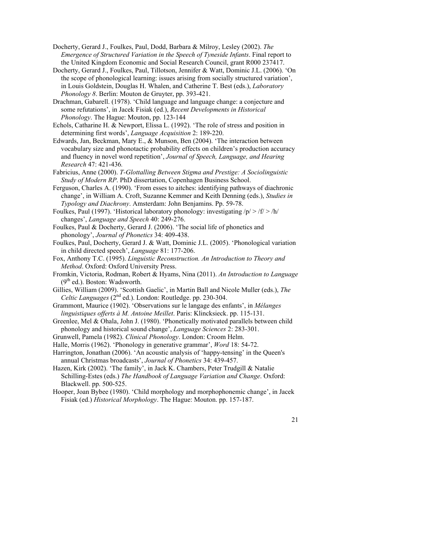- Docherty, Gerard J., Foulkes, Paul, Dodd, Barbara & Milroy, Lesley (2002). *The Emergence of Structured Variation in the Speech of Tyneside Infants*. Final report to the United Kingdom Economic and Social Research Council, grant R000 237417.
- Docherty, Gerard J., Foulkes, Paul, Tillotson, Jennifer & Watt, Dominic J.L. (2006). 'On the scope of phonological learning: issues arising from socially structured variation', in Louis Goldstein, Douglas H. Whalen, and Catherine T. Best (eds.), *Laboratory Phonology 8*. Berlin: Mouton de Gruyter, pp. 393-421.
- Drachman, Gabarell. (1978). 'Child language and language change: a conjecture and some refutations', in Jacek Fisiak (ed.), *Recent Developments in Historical Phonology*. The Hague: Mouton, pp. 123-144
- Echols, Catharine H. & Newport, Elissa L. (1992). 'The role of stress and position in determining first words', *Language Acquisition* 2: 189-220.
- Edwards, Jan, Beckman, Mary E., & Munson, Ben (2004). 'The interaction between vocabulary size and phonotactic probability effects on children's production accuracy and fluency in novel word repetition', *Journal of Speech, Language, and Hearing Research* 47: 421-436*.*
- Fabricius, Anne (2000). *T-Glottalling Between Stigma and Prestige: A Sociolinguistic Study of Modern RP*. PhD dissertation, Copenhagen Business School.
- Ferguson, Charles A. (1990). 'From esses to aitches: identifying pathways of diachronic change', in William A. Croft, Suzanne Kemmer and Keith Denning (eds.), *Studies in Typology and Diachrony*. Amsterdam: John Benjamins. Pp. 59-78.
- Foulkes, Paul (1997). 'Historical laboratory phonology: investigating  $/p \ge |f| > h/$ changes', *Language and Speech* 40: 249-276.
- Foulkes, Paul & Docherty, Gerard J. (2006). 'The social life of phonetics and phonology', *Journal of Phonetics* 34: 409-438.
- Foulkes, Paul, Docherty, Gerard J. & Watt, Dominic J.L. (2005). 'Phonological variation in child directed speech', *Language* 81: 177-206.
- Fox, Anthony T.C. (1995). *Linguistic Reconstruction. An Introduction to Theory and Method*. Oxford: Oxford University Press.
- Fromkin, Victoria, Rodman, Robert & Hyams, Nina (2011). *An Introduction to Language*  $(9<sup>th</sup>$  ed.). Boston: Wadsworth.
- Gillies, William (2009). 'Scottish Gaelic', in Martin Ball and Nicole Muller (eds.), *The Celtic Languages* (2<sup>nd</sup> ed.). London: Routledge. pp. 230-304.
- Grammont, Maurice (1902). 'Observations sur le langage des enfants', in *Mélanges linguistiques offerts à M. Antoine Meillet*. Paris: Klincksieck. pp. 115-131.
- Greenlee, Mel & Ohala, John J. (1980). 'Phonetically motivated parallels between child phonology and historical sound change', *Language Sciences* 2: 283-301.
- Grunwell, Pamela (1982). *Clinical Phonology*. London: Croom Helm.
- Halle, Morris (1962). 'Phonology in generative grammar', *Word* 18: 54-72.
- Harrington, Jonathan (2006). 'An acoustic analysis of 'happy-tensing' in the Queen's annual Christmas broadcasts', *Journal of Phonetics* 34: 439-457.
- Hazen, Kirk (2002). 'The family', in Jack K. Chambers, Peter Trudgill & Natalie Schilling-Estes (eds.) *The Handbook of Language Variation and Change*. Oxford: Blackwell. pp. 500-525.
- Hooper, Joan Bybee (1980). 'Child morphology and morphophonemic change', in Jacek Fisiak (ed.) *Historical Morphology*. The Hague: Mouton. pp. 157-187.
	- 21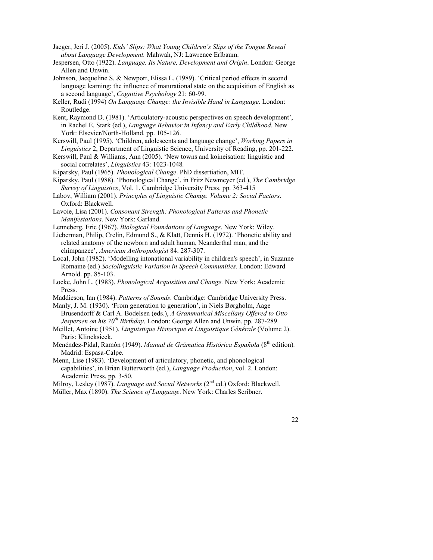- Jaeger, Jeri J. (2005). *Kids' Slips: What Young Children's Slips of the Tongue Reveal about Language Development.* Mahwah, NJ: Lawrence Erlbaum.
- Jespersen, Otto (1922). *Language. Its Nature, Development and Origin*. London: George Allen and Unwin.
- Johnson, Jacqueline S. & Newport, Elissa L. (1989). 'Critical period effects in second language learning: the influence of maturational state on the acquisition of English as a second language', *Cognitive Psychology* 21: 60-99.
- Keller, Rudi (1994) *On Language Change: the Invisible Hand in Language*. London: Routledge.
- Kent, Raymond D. (1981). 'Articulatory-acoustic perspectives on speech development', in Rachel E. Stark (ed.), *Language Behavior in Infancy and Early Childhood*. New York: Elsevier/North-Holland. pp. 105-126.
- Kerswill, Paul (1995). 'Children, adolescents and language change', *Working Papers in Linguistics* 2, Department of Linguistic Science, University of Reading, pp. 201-222.
- Kerswill, Paul & Williams, Ann (2005). 'New towns and koineisation: linguistic and social correlates', *Linguistics* 43: 1023-1048*.*

Kiparsky, Paul (1965). *Phonological Change*. PhD dissertiation, MIT.

- Kiparsky, Paul (1988). 'Phonological Change', in Fritz Newmeyer (ed.), *The Cambridge Survey of Linguistics*, Vol. 1. Cambridge University Press. pp. 363-415
- Labov, William (2001). *Principles of Linguistic Change. Volume 2: Social Factors*. Oxford: Blackwell.
- Lavoie, Lisa (2001). *Consonant Strength: Phonological Patterns and Phonetic Manifestations*. New York: Garland.

Lenneberg, Eric (1967). *Biological Foundations of Language*. New York: Wiley.

- Lieberman, Philip, Crelin, Edmund S., & Klatt, Dennis H. (1972). 'Phonetic ability and related anatomy of the newborn and adult human, Neanderthal man, and the chimpanzee', *American Anthropologist* 84: 287-307.
- Local, John (1982). 'Modelling intonational variability in children's speech', in Suzanne Romaine (ed.) *Sociolinguistic Variation in Speech Communities*. London: Edward Arnold. pp. 85-103.
- Locke, John L. (1983). *Phonological Acquisition and Change.* New York: Academic Press.

Maddieson, Ian (1984). *Patterns of Sounds*. Cambridge: Cambridge University Press.

- Manly, J. M. (1930). 'From generation to generation', in Niels Børgholm, Aage Brusendorff & Carl A. Bodelsen (eds.), *A Grammatical Miscellany Offered to Otto Jespersen on his 70<sup>th</sup> Birthday*. London: George Allen and Unwin. pp. 287-289.
- Meillet, Antoine (1951). *Linguistique Historique et Linguistique Générale* (Volume 2). Paris: Klincksieck.
- Menéndez-Pidal, Ramón (1949). *Manual de Grámatica Histórica Española* (8<sup>th</sup> edition). Madrid: Espasa-Calpe.
- Menn, Lise (1983). 'Development of articulatory, phonetic, and phonological capabilities', in Brian Butterworth (ed.), *Language Production*, vol. 2. London: Academic Press, pp. 3-50.
- Milroy, Lesley (1987). *Language and Social Networks* (2<sup>nd</sup> ed.) Oxford: Blackwell. Müller, Max (1890). *The Science of Language*. New York: Charles Scribner.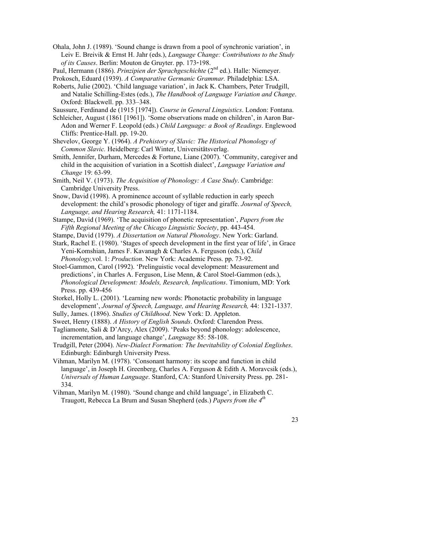- Ohala, John J. (1989). 'Sound change is drawn from a pool of synchronic variation', in Leiv E. Breivik & Ernst H. Jahr (eds.), *Language Change: Contributions to the Study of its Causes*. Berlin: Mouton de Gruyter. pp. 173-198.
- Paul, Hermann (1886). *Prinzipien der Sprachgeschichte* (2nd ed.). Halle: Niemeyer.

Prokosch, Eduard (1939). *A Comparative Germanic Grammar.* Philadelphia: LSA.

- Roberts, Julie (2002). 'Child language variation', in Jack K. Chambers, Peter Trudgill, and Natalie Schilling-Estes (eds.), *The Handbook of Language Variation and Change*. Oxford: Blackwell. pp. 333–348.
- Saussure, Ferdinand de (1915 [1974]). *Course in General Linguistics*. London: Fontana.
- Schleicher, August (1861 [1961]). 'Some observations made on children', in Aaron Bar-Adon and Werner F. Leopold (eds.) *Child Language: a Book of Readings*. Englewood Cliffs: Prentice-Hall. pp. 19-20.
- Shevelov, George Y. (1964). *A Prehistory of Slavic: The Historical Phonology of Common Slavic.* Heidelberg: Carl Winter, Universitätsverlag.
- Smith, Jennifer, Durham, Mercedes & Fortune, Liane (2007). 'Community, caregiver and child in the acquisition of variation in a Scottish dialect', *Language Variation and Change* 19: 63-99.
- Smith, Neil V. (1973). *The Acquisition of Phonology: A Case Study*. Cambridge: Cambridge University Press.
- Snow, David (1998). A prominence account of syllable reduction in early speech development: the child's prosodic phonology of tiger and giraffe. *Journal of Speech, Language, and Hearing Research,* 41: 1171-1184.
- Stampe, David (1969). 'The acquisition of phonetic representation', *Papers from the Fifth Regional Meeting of the Chicago Linguistic Society*, pp. 443-454.
- Stampe, David (1979). *A Dissertation on Natural Phonology*. New York: Garland.
- Stark, Rachel E. (1980). 'Stages of speech development in the first year of life', in Grace Yeni-Komshian, James F. Kavanagh & Charles A. Ferguson (eds.), *Child Phonology,*vol. 1: *Production*. New York: Academic Press. pp. 73-92.
- Stoel-Gammon, Carol (1992). 'Prelinguistic vocal development: Measurement and predictions', in Charles A. Ferguson, Lise Menn, & Carol Stoel-Gammon (eds.), *Phonological Development: Models, Research, Implications*. Timonium, MD: York Press. pp. 439-456
- Storkel, Holly L. (2001). 'Learning new words: Phonotactic probability in language development', *Journal of Speech, Language, and Hearing Research,* 44: 1321-1337.
- Sully, James. (1896). *Studies of Childhood*. New York: D. Appleton.
- Sweet, Henry (1888). *A History of English Sounds*. Oxford: Clarendon Press.
- Tagliamonte, Sali & D'Arcy, Alex (2009). 'Peaks beyond phonology: adolescence, incrementation, and language change', *Language* 85: 58-108.
- Trudgill, Peter (2004). *New-Dialect Formation: The Inevitability of Colonial Englishes*. Edinburgh: Edinburgh University Press.
- Vihman, Marilyn M. (1978). 'Consonant harmony: its scope and function in child language', in Joseph H. Greenberg, Charles A. Ferguson & Edith A. Moravcsik (eds.), *Universals of Human Language*. Stanford, CA: Stanford University Press. pp. 281- 334.
- Vihman, Marilyn M. (1980). 'Sound change and child language', in Elizabeth C. Traugott, Rebecca La Brum and Susan Shepherd (eds.) *Papers from the 4th*
- 23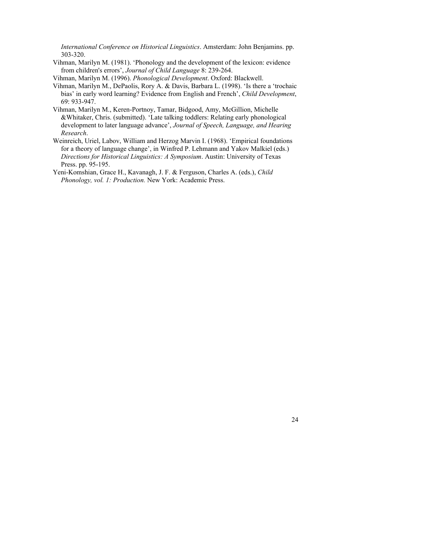*International Conference on Historical Linguistics*. Amsterdam: John Benjamins. pp. 303-320.

- Vihman, Marilyn M. (1981). 'Phonology and the development of the lexicon: evidence from children's errors', *Journal of Child Language* 8: 239-264.
- Vihman, Marilyn M. (1996). *Phonological Development*. Oxford: Blackwell.
- Vihman, Marilyn M., DePaolis, Rory A. & Davis, Barbara L. (1998). 'Is there a 'trochaic bias' in early word learning? Evidence from English and French', *Child Development*, 69: 933-947.
- Vihman, Marilyn M., Keren-Portnoy, Tamar, Bidgood, Amy, McGillion, Michelle &Whitaker, Chris. (submitted). 'Late talking toddlers: Relating early phonological development to later language advance', *Journal of Speech, Language, and Hearing Research*.
- Weinreich, Uriel, Labov, William and Herzog Marvin I. (1968). 'Empirical foundations for a theory of language change', in Winfred P. Lehmann and Yakov Malkiel (eds.) *Directions for Historical Linguistics: A Symposium*. Austin: University of Texas Press. pp. 95-195.
- Yeni-Komshian, Grace H., Kavanagh, J. F. & Ferguson, Charles A. (eds.), *Child Phonology, vol. 1: Production.* New York: Academic Press.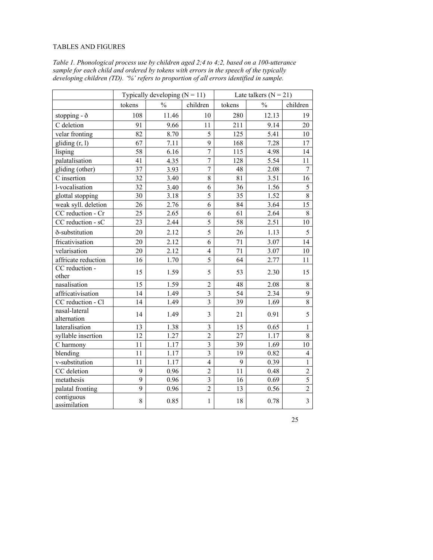# TABLES AND FIGURES

|                              | Typically developing $(N = 11)$ |               | Late talkers $(N = 21)$ |        |               |                 |
|------------------------------|---------------------------------|---------------|-------------------------|--------|---------------|-----------------|
|                              | tokens                          | $\frac{0}{0}$ | children                | tokens | $\frac{0}{0}$ | children        |
| stopping - ð                 | 108                             | 11.46         | 10                      | 280    | 12.13         | 19              |
| C deletion                   | 91                              | 9.66          | 11                      | 211    | 9.14          | 20              |
| velar fronting               | 82                              | 8.70          | 5                       | 125    | 5.41          | $10\,$          |
| gliding $(r, 1)$             | 67                              | 7.11          | 9                       | 168    | 7.28          | 17              |
| lisping                      | 58                              | 6.16          | $\overline{7}$          | 115    | 4.98          | 14              |
| palatalisation               | 41                              | 4.35          | $\overline{7}$          | 128    | 5.54          | 11              |
| gliding (other)              | 37                              | 3.93          | $\overline{7}$          | 48     | 2.08          | $\tau$          |
| C insertion                  | 32                              | 3.40          | 8                       | 81     | 3.51          | 16              |
| l-vocalisation               | 32                              | 3.40          | 6                       | 36     | 1.56          | 5               |
| glottal stopping             | 30                              | 3.18          | 5                       | 35     | 1.52          | $\overline{8}$  |
| weak syll. deletion          | 26                              | 2.76          | 6                       | 84     | 3.64          | $\overline{15}$ |
| CC reduction - Cr            | 25                              | 2.65          | 6                       | 61     | 2.64          | $\,8\,$         |
| CC reduction - sC            | 23                              | 2.44          | $\overline{5}$          | 58     | 2.51          | 10              |
| ð-substitution               | 20                              | 2.12          | 5                       | 26     | 1.13          | 5               |
| fricativisation              | 20                              | 2.12          | 6                       | 71     | 3.07          | 14              |
| velarisation                 | 20                              | 2.12          | $\overline{4}$          | 71     | 3.07          | 10              |
| affricate reduction          | 16                              | 1.70          | 5                       | 64     | 2.77          | 11              |
| CC reduction -<br>other      | 15                              | 1.59          | 5                       | 53     | 2.30          | 15              |
| nasalisation                 | 15                              | 1.59          | $\overline{c}$          | 48     | 2.08          | 8               |
| affricativisation            | 14                              | 1.49          | $\overline{3}$          | 54     | 2.34          | 9               |
| CC reduction - Cl            | 14                              | 1.49          | $\overline{3}$          | 39     | 1.69          | $\overline{8}$  |
| nasal-lateral<br>alternation | 14                              | 1.49          | 3                       | 21     | 0.91          | 5               |
| lateralisation               | 13                              | 1.38          | 3                       | 15     | 0.65          | $\mathbf{1}$    |
| syllable insertion           | 12                              | 1.27          | $\overline{2}$          | 27     | 1.17          | 8               |
| C harmony                    | 11                              | 1.17          | $\overline{3}$          | 39     | 1.69          | 10              |
| blending                     | 11                              | 1.17          | $\overline{3}$          | 19     | 0.82          | $\overline{4}$  |
| v-substitution               | 11                              | 1.17          | $\overline{4}$          | 9      | 0.39          | $\mathbf{1}$    |
| CC deletion                  | 9                               | 0.96          | $\overline{2}$          | 11     | 0.48          | $\overline{c}$  |
| metathesis                   | 9                               | 0.96          | $\overline{\mathbf{3}}$ | 16     | 0.69          | $\overline{5}$  |
| palatal fronting             | 9                               | 0.96          | $\overline{2}$          | 13     | 0.56          | $\overline{2}$  |
| contiguous<br>assimilation   | 8                               | 0.85          | 1                       | 18     | 0.78          | $\overline{3}$  |

*Table 1. Phonological process use by children aged 2;4 to 4;2, based on a 100-utterance sample for each child and ordered by tokens with errors in the speech of the typically developing children (TD). '%' refers to proportion of all errors identified in sample.*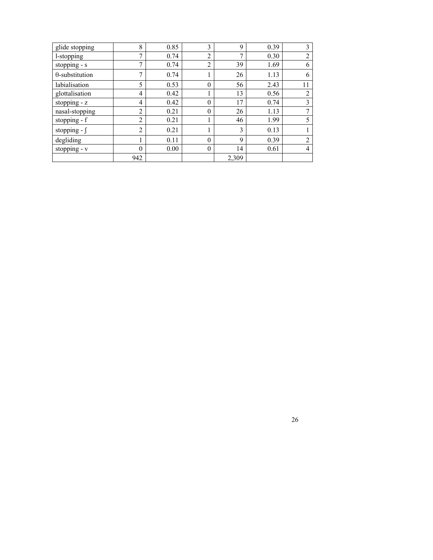| glide stopping         | 8              | 0.85 | 3        | 9              | 0.39 | 3  |
|------------------------|----------------|------|----------|----------------|------|----|
| l-stopping             | $\mathbf{r}$   | 0.74 | 2        | $\overline{7}$ | 0.30 | ∍  |
| stopping - s           | $\mathbf{r}$   | 0.74 | 2        | 39             | 1.69 | 6  |
| $\theta$ -substitution | ⇁              | 0.74 |          | 26             | 1.13 | 6  |
| labialisation          | 5              | 0.53 | $\theta$ | 56             | 2.43 | 11 |
| glottalisation         | 4              | 0.42 |          | 13             | 0.56 | 2  |
| stopping $- z$         | 4              | 0.42 | $\theta$ | 17             | 0.74 | 3  |
| nasal-stopping         | $\overline{2}$ | 0.21 | $\theta$ | 26             | 1.13 | 7  |
| stopping - f           | 2              | 0.21 |          | 46             | 1.99 |    |
| stopping - $\int$      | 2              | 0.21 |          | 3              | 0.13 |    |
| degliding              |                | 0.11 | $\theta$ | 9              | 0.39 | 2  |
| stopping - v           | $\theta$       | 0.00 | $\theta$ | 14             | 0.61 | 4  |
|                        | 942            |      |          | 2,309          |      |    |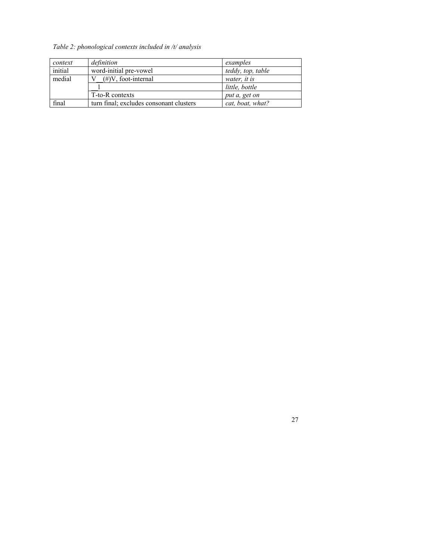# *Table 2: phonological contexts included in /t/ analysis*

| context | definition                              | examples          |
|---------|-----------------------------------------|-------------------|
| initial | word-initial pre-vowel                  | teddy, top, table |
| medial  | $(\#)V$ , foot-internal                 | water, it is      |
|         |                                         | little, bottle    |
|         | T-to-R contexts                         | put a, get on     |
| final   | turn final; excludes consonant clusters | cat, boat, what?  |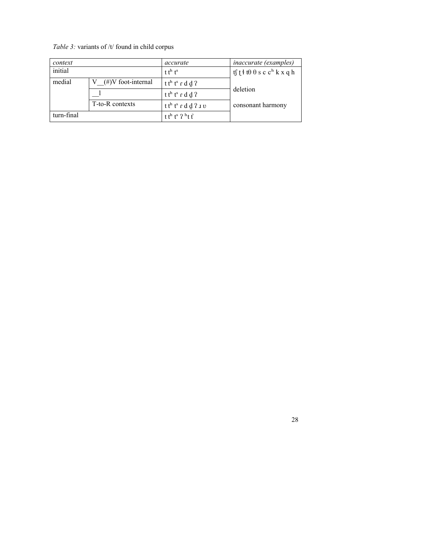# *Table 3:* variants of /t/ found in child corpus

| context    |                       | accurate                               | <i>inaccurate (examples)</i>                                                     |  |
|------------|-----------------------|----------------------------------------|----------------------------------------------------------------------------------|--|
| initial    |                       | $t t^h t^s$                            | $tf$ $t$ $\theta$ $\theta$ $s$ $c$ $c$ <sup><math>h</math></sup> $k$ $x$ $q$ $h$ |  |
| medial     | $(\#)V$ foot-internal | t t <sup>h</sup> t <sup>s</sup> r d d? |                                                                                  |  |
|            |                       | t t <sup>h</sup> t <sup>s</sup> r d d? | deletion                                                                         |  |
|            | T-to-R contexts       | $t th ts r d d$ ? $1 v$                | consonant harmony                                                                |  |
| turn-final |                       | t the t <sup>s</sup> $2h$ t f          |                                                                                  |  |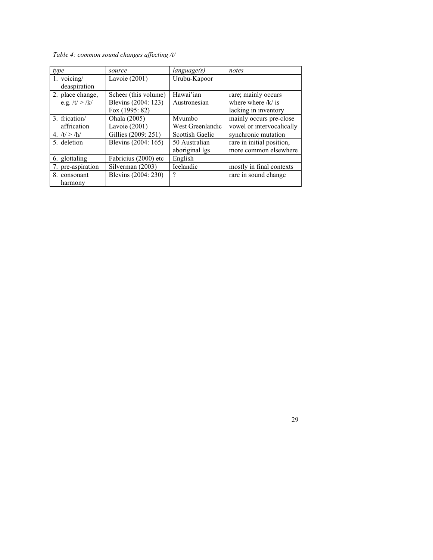*Table 4: common sound changes affecting /t/*

| type             | source               | language(s)      | notes                     |
|------------------|----------------------|------------------|---------------------------|
| 1. voicing/      | Lavoie $(2001)$      | Urubu-Kapoor     |                           |
| deaspiration     |                      |                  |                           |
| 2. place change, | Scheer (this volume) | Hawai'ian        | rare; mainly occurs       |
| e.g. $/t$ > $/k$ | Blevins (2004: 123)  | Austronesian     | where where $/k/$ is      |
|                  | Fox (1995: 82)       |                  | lacking in inventory      |
| 3. frication/    | Ohala (2005)         | Mvumbo           | mainly occurs pre-close   |
| affrication      | Lavoie $(2001)$      | West Greenlandic | vowel or intervocalically |
| 4. $/t$ > /h/    | Gillies (2009: 251)  | Scottish Gaelic  | synchronic mutation       |
| 5. deletion      | Blevins (2004: 165)  | 50 Australian    | rare in initial position, |
|                  |                      | aboriginal lgs   | more common elsewhere     |
| 6. glottaling    | Fabricius (2000) etc | English          |                           |
| pre-aspiration   | Silverman (2003)     | Icelandic        | mostly in final contexts  |
| 8. consonant     | Blevins (2004: 230)  | ?                | rare in sound change      |
| harmony          |                      |                  |                           |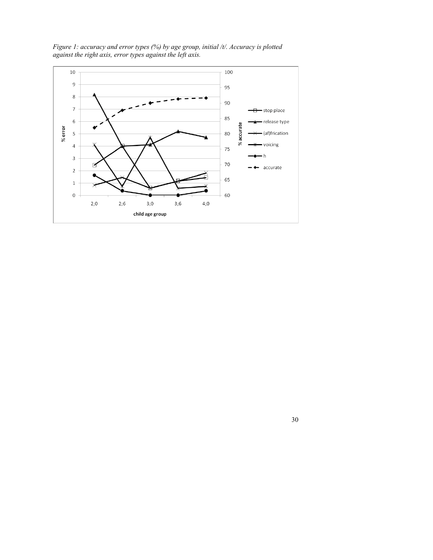

*Figure 1: accuracy and error types (%) by age group, initial /t/. Accuracy is plotted against the right axis, error types against the left axis.*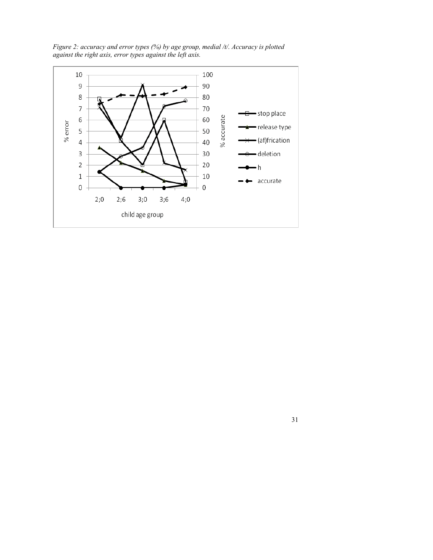*Figure 2: accuracy and error types (%) by age group, medial /t/. Accuracy is plotted against the right axis, error types against the left axis.*

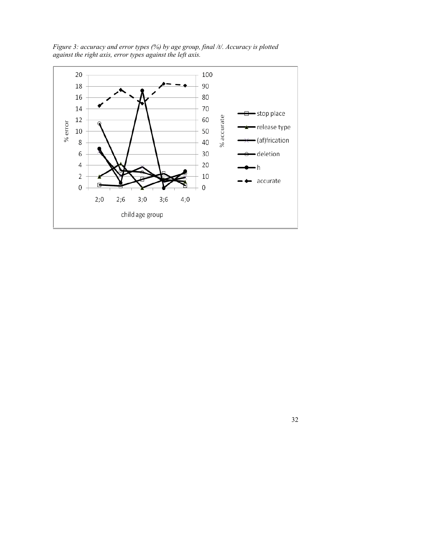*Figure 3: accuracy and error types (%) by age group, final /t/. Accuracy is plotted against the right axis, error types against the left axis.*

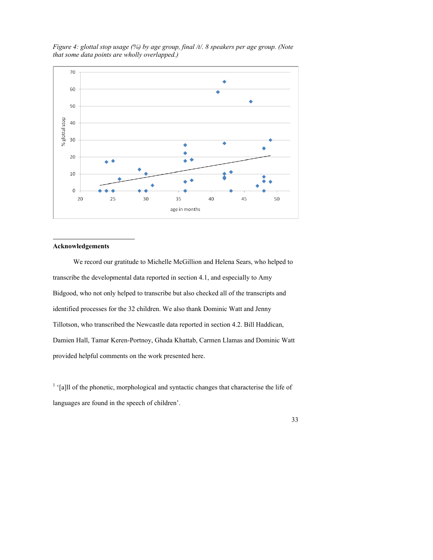

*Figure 4: glottal stop usage (%) by age group, final /t/. 8 speakers per age group. (Note that some data points are wholly overlapped.)*

#### **Acknowledgements**

 $\overline{a}$ 

We record our gratitude to Michelle McGillion and Helena Sears, who helped to transcribe the developmental data reported in section 4.1, and especially to Amy Bidgood, who not only helped to transcribe but also checked all of the transcripts and identified processes for the 32 children. We also thank Dominic Watt and Jenny Tillotson, who transcribed the Newcastle data reported in section 4.2. Bill Haddican, Damien Hall, Tamar Keren-Portnoy, Ghada Khattab, Carmen Llamas and Dominic Watt provided helpful comments on the work presented here.

 $<sup>1</sup>$  '[a]ll of the phonetic, morphological and syntactic changes that characterise the life of</sup> languages are found in the speech of children'.